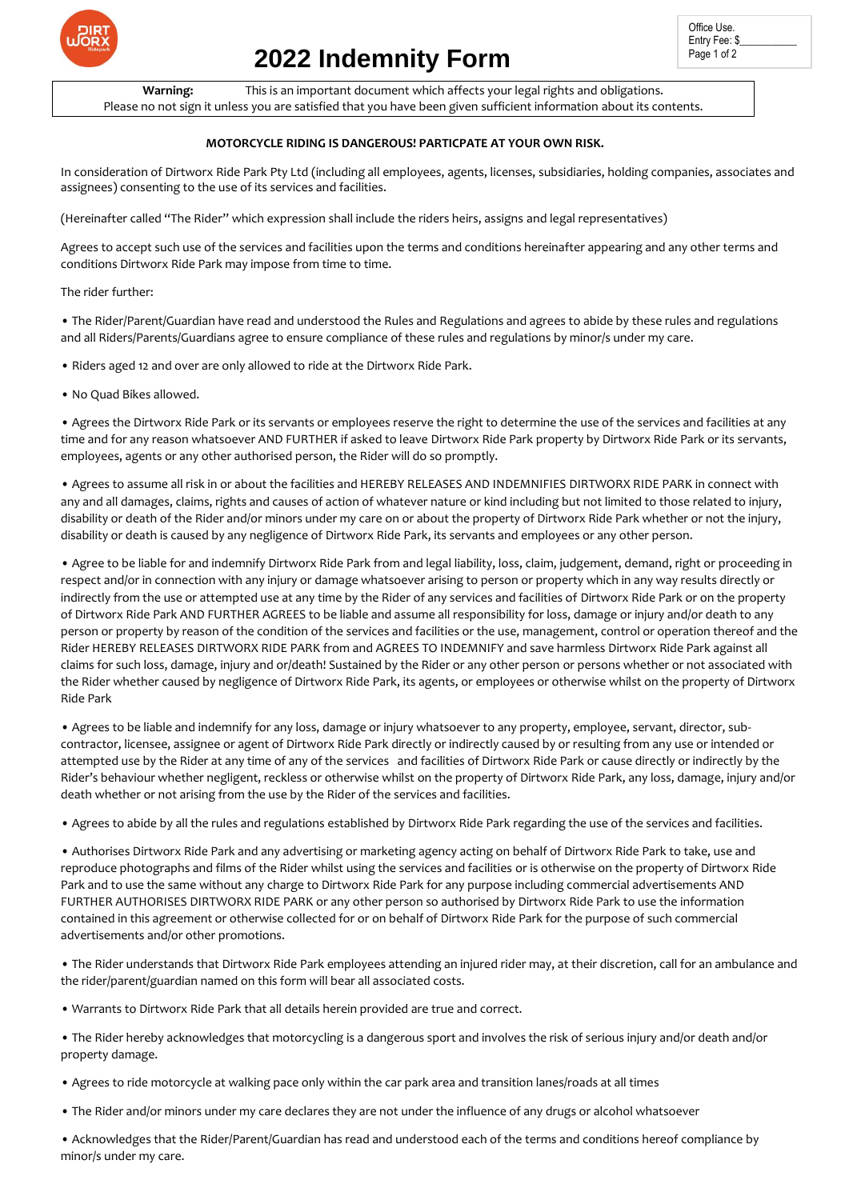

# **2022 Indemnity Form**

**Warning:** This is an important document which affects your legal rights and obligations. Please no not sign it unless you are satisfied that you have been given sufficient information about its contents.

### **MOTORCYCLE RIDING IS DANGEROUS! PARTICPATE AT YOUR OWN RISK.**

In consideration of Dirtworx Ride Park Pty Ltd (including all employees, agents, licenses, subsidiaries, holding companies, associates and assignees) consenting to the use of its services and facilities.

(Hereinafter called "The Rider" which expression shall include the riders heirs, assigns and legal representatives)

Agrees to accept such use of the services and facilities upon the terms and conditions hereinafter appearing and any other terms and conditions Dirtworx Ride Park may impose from time to time.

The rider further:

• The Rider/Parent/Guardian have read and understood the Rules and Regulations and agrees to abide by these rules and regulations and all Riders/Parents/Guardians agree to ensure compliance of these rules and regulations by minor/s under my care.

• Riders aged 12 and over are only allowed to ride at the Dirtworx Ride Park.

• No Quad Bikes allowed.

• Agrees the Dirtworx Ride Park or its servants or employees reserve the right to determine the use of the services and facilities at any time and for any reason whatsoever AND FURTHER if asked to leave Dirtworx Ride Park property by Dirtworx Ride Park or its servants, employees, agents or any other authorised person, the Rider will do so promptly.

• Agrees to assume all risk in or about the facilities and HEREBY RELEASES AND INDEMNIFIES DIRTWORX RIDE PARK in connect with any and all damages, claims, rights and causes of action of whatever nature or kind including but not limited to those related to injury, disability or death of the Rider and/or minors under my care on or about the property of Dirtworx Ride Park whether or not the injury, disability or death is caused by any negligence of Dirtworx Ride Park, its servants and employees or any other person.

• Agree to be liable for and indemnify Dirtworx Ride Park from and legal liability, loss, claim, judgement, demand, right or proceeding in respect and/or in connection with any injury or damage whatsoever arising to person or property which in any way results directly or indirectly from the use or attempted use at any time by the Rider of any services and facilities of Dirtworx Ride Park or on the property of Dirtworx Ride Park AND FURTHER AGREES to be liable and assume all responsibility for loss, damage or injury and/or death to any person or property by reason of the condition of the services and facilities or the use, management, control or operation thereof and the Rider HEREBY RELEASES DIRTWORX RIDE PARK from and AGREES TO INDEMNIFY and save harmless Dirtworx Ride Park against all claims for such loss, damage, injury and or/death! Sustained by the Rider or any other person or persons whether or not associated with the Rider whether caused by negligence of Dirtworx Ride Park, its agents, or employees or otherwise whilst on the property of Dirtworx Ride Park

• Agrees to be liable and indemnify for any loss, damage or injury whatsoever to any property, employee, servant, director, subcontractor, licensee, assignee or agent of Dirtworx Ride Park directly or indirectly caused by or resulting from any use or intended or attempted use by the Rider at any time of any of the services and facilities of Dirtworx Ride Park or cause directly or indirectly by the Rider's behaviour whether negligent, reckless or otherwise whilst on the property of Dirtworx Ride Park, any loss, damage, injury and/or death whether or not arising from the use by the Rider of the services and facilities.

• Agrees to abide by all the rules and regulations established by Dirtworx Ride Park regarding the use of the services and facilities.

• Authorises Dirtworx Ride Park and any advertising or marketing agency acting on behalf of Dirtworx Ride Park to take, use and reproduce photographs and films of the Rider whilst using the services and facilities or is otherwise on the property of Dirtworx Ride Park and to use the same without any charge to Dirtworx Ride Park for any purpose including commercial advertisements AND FURTHER AUTHORISES DIRTWORX RIDE PARK or any other person so authorised by Dirtworx Ride Park to use the information contained in this agreement or otherwise collected for or on behalf of Dirtworx Ride Park for the purpose of such commercial advertisements and/or other promotions.

• The Rider understands that Dirtworx Ride Park employees attending an injured rider may, at their discretion, call for an ambulance and the rider/parent/guardian named on this form will bear all associated costs.

• Warrants to Dirtworx Ride Park that all details herein provided are true and correct.

• The Rider hereby acknowledges that motorcycling is a dangerous sport and involves the risk of serious injury and/or death and/or property damage.

• Agrees to ride motorcycle at walking pace only within the car park area and transition lanes/roads at all times

• The Rider and/or minors under my care declares they are not under the influence of any drugs or alcohol whatsoever

• Acknowledges that the Rider/Parent/Guardian has read and understood each of the terms and conditions hereof compliance by minor/s under my care.